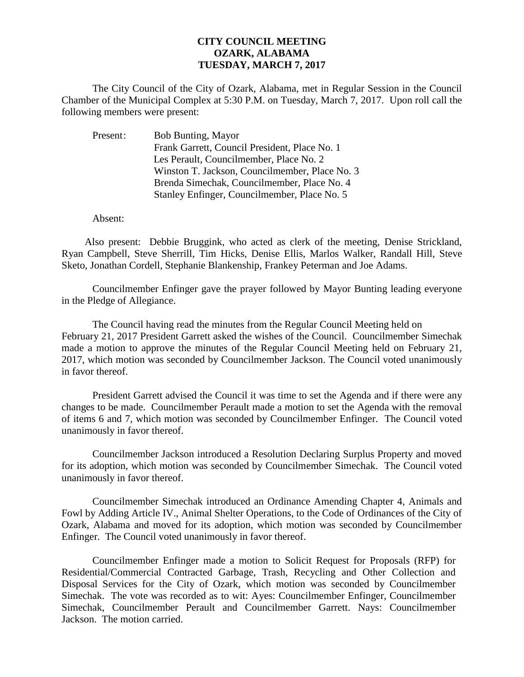## **CITY COUNCIL MEETING OZARK, ALABAMA TUESDAY, MARCH 7, 2017**

The City Council of the City of Ozark, Alabama, met in Regular Session in the Council Chamber of the Municipal Complex at 5:30 P.M. on Tuesday, March 7, 2017. Upon roll call the following members were present:

| Present: | Bob Bunting, Mayor                             |
|----------|------------------------------------------------|
|          | Frank Garrett, Council President, Place No. 1  |
|          | Les Perault, Councilmember, Place No. 2        |
|          | Winston T. Jackson, Councilmember, Place No. 3 |
|          | Brenda Simechak, Councilmember, Place No. 4    |
|          | Stanley Enfinger, Councilmember, Place No. 5   |

Absent:

Also present: Debbie Bruggink, who acted as clerk of the meeting, Denise Strickland, Ryan Campbell, Steve Sherrill, Tim Hicks, Denise Ellis, Marlos Walker, Randall Hill, Steve Sketo, Jonathan Cordell, Stephanie Blankenship, Frankey Peterman and Joe Adams.

Councilmember Enfinger gave the prayer followed by Mayor Bunting leading everyone in the Pledge of Allegiance.

The Council having read the minutes from the Regular Council Meeting held on February 21, 2017 President Garrett asked the wishes of the Council. Councilmember Simechak made a motion to approve the minutes of the Regular Council Meeting held on February 21, 2017, which motion was seconded by Councilmember Jackson. The Council voted unanimously in favor thereof.

President Garrett advised the Council it was time to set the Agenda and if there were any changes to be made. Councilmember Perault made a motion to set the Agenda with the removal of items 6 and 7, which motion was seconded by Councilmember Enfinger. The Council voted unanimously in favor thereof.

Councilmember Jackson introduced a Resolution Declaring Surplus Property and moved for its adoption, which motion was seconded by Councilmember Simechak. The Council voted unanimously in favor thereof.

 Councilmember Simechak introduced an Ordinance Amending Chapter 4, Animals and Fowl by Adding Article IV., Animal Shelter Operations, to the Code of Ordinances of the City of Ozark, Alabama and moved for its adoption, which motion was seconded by Councilmember Enfinger. The Council voted unanimously in favor thereof.

Councilmember Enfinger made a motion to Solicit Request for Proposals (RFP) for Residential/Commercial Contracted Garbage, Trash, Recycling and Other Collection and Disposal Services for the City of Ozark, which motion was seconded by Councilmember Simechak. The vote was recorded as to wit: Ayes: Councilmember Enfinger, Councilmember Simechak, Councilmember Perault and Councilmember Garrett. Nays: Councilmember Jackson. The motion carried.